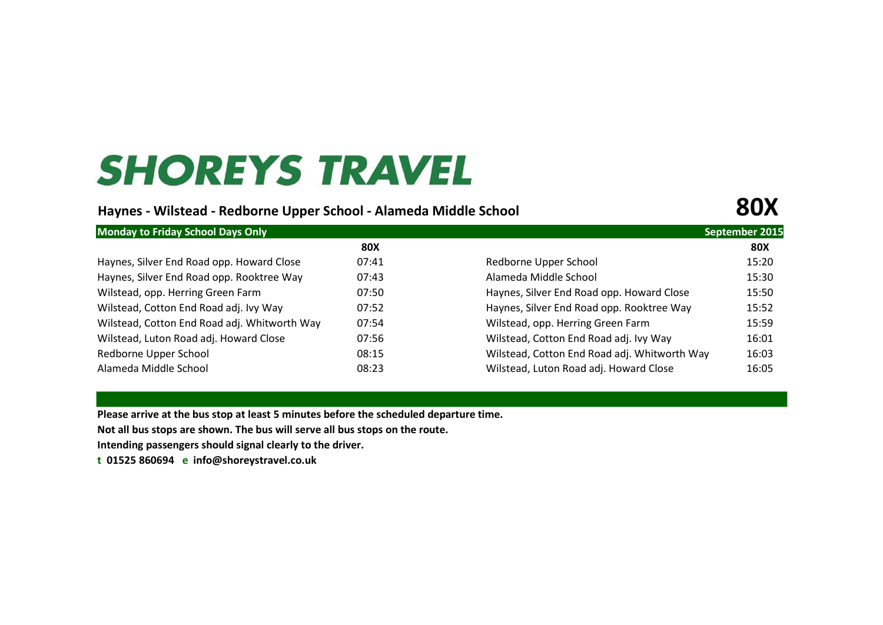# **SHOREYS TRAVEL**

#### **Haynes - Wilstead - Redborne Upper School - Alameda Middle School 80X**

| <b>Monday to Friday School Days Only</b>     |       |                                              |            |  |
|----------------------------------------------|-------|----------------------------------------------|------------|--|
|                                              | 80X   |                                              | <b>80X</b> |  |
| Haynes, Silver End Road opp. Howard Close    | 07:41 | Redborne Upper School                        | 15:20      |  |
| Haynes, Silver End Road opp. Rooktree Way    | 07:43 | Alameda Middle School                        | 15:30      |  |
| Wilstead, opp. Herring Green Farm            | 07:50 | Haynes, Silver End Road opp. Howard Close    | 15:50      |  |
| Wilstead, Cotton End Road adj. Ivy Way       | 07:52 | Haynes, Silver End Road opp. Rooktree Way    | 15:52      |  |
| Wilstead, Cotton End Road adj. Whitworth Way | 07:54 | Wilstead, opp. Herring Green Farm            | 15:59      |  |
| Wilstead, Luton Road adj. Howard Close       | 07:56 | Wilstead, Cotton End Road adj. Ivy Way       | 16:01      |  |
| Redborne Upper School                        | 08:15 | Wilstead, Cotton End Road adj. Whitworth Way | 16:03      |  |
| Alameda Middle School                        | 08:23 | Wilstead, Luton Road adj. Howard Close       | 16:05      |  |

**Please arrive at the bus stop at least 5 minutes before the scheduled departure time.** 

**Not all bus stops are shown. The bus will serve all bus stops on the route.**

**Intending passengers should signal clearly to the driver.** 

**t 01525 860694 e [info@shoreystravel.co.uk](mailto:info@shoreystravel.co.uk)**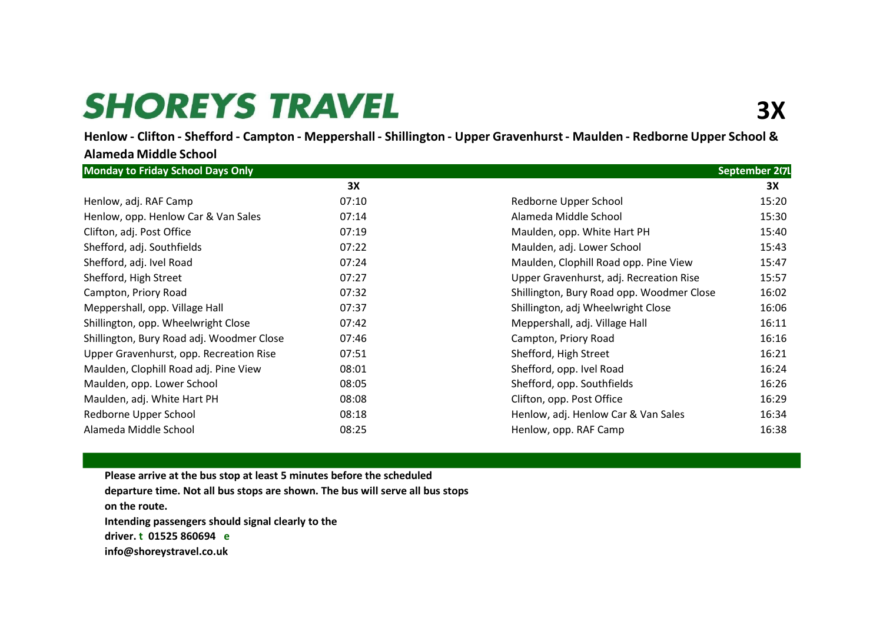## **SHOREYS TRAVEL**

Henlow - Clifton - Shefford - Campton - Meppershall - Shillington - Upper Gravenhurst - Maulden - Redborne Upper School &

| <b>Monday to Friday School Days Only</b>  |       | September 2071                                     |  |
|-------------------------------------------|-------|----------------------------------------------------|--|
|                                           | 3X    | 3X                                                 |  |
| Henlow, adj. RAF Camp                     | 07:10 | 15:20<br>Redborne Upper School                     |  |
| Henlow, opp. Henlow Car & Van Sales       | 07:14 | Alameda Middle School<br>15:30                     |  |
| Clifton, adj. Post Office                 | 07:19 | Maulden, opp. White Hart PH<br>15:40               |  |
| Shefford, adj. Southfields                | 07:22 | Maulden, adj. Lower School<br>15:43                |  |
| Shefford, adj. Ivel Road                  | 07:24 | Maulden, Clophill Road opp. Pine View<br>15:47     |  |
| Shefford, High Street                     | 07:27 | Upper Gravenhurst, adj. Recreation Rise<br>15:57   |  |
| Campton, Priory Road                      | 07:32 | Shillington, Bury Road opp. Woodmer Close<br>16:02 |  |
| Meppershall, opp. Village Hall            | 07:37 | Shillington, adj Wheelwright Close<br>16:06        |  |
| Shillington, opp. Wheelwright Close       | 07:42 | Meppershall, adj. Village Hall<br>16:11            |  |
| Shillington, Bury Road adj. Woodmer Close | 07:46 | 16:16<br>Campton, Priory Road                      |  |
| Upper Gravenhurst, opp. Recreation Rise   | 07:51 | Shefford, High Street<br>16:21                     |  |
| Maulden, Clophill Road adj. Pine View     | 08:01 | Shefford, opp. Ivel Road<br>16:24                  |  |
| Maulden, opp. Lower School                | 08:05 | Shefford, opp. Southfields<br>16:26                |  |
| Maulden, adj. White Hart PH               | 08:08 | Clifton, opp. Post Office<br>16:29                 |  |
| Redborne Upper School                     | 08:18 | Henlow, adj. Henlow Car & Van Sales<br>16:34       |  |
| Alameda Middle School                     | 08:25 | Henlow, opp. RAF Camp<br>16:38                     |  |

**Please arrive at the bus stop at least 5 minutes before the scheduled departure time. Not all bus stops are shown. The bus will serve all bus stops on the route. Intending passengers should signal clearly to the driver. t 01525 860694 e [info@shoreystravel.co.uk](mailto:info@shoreystravel.co.uk)**